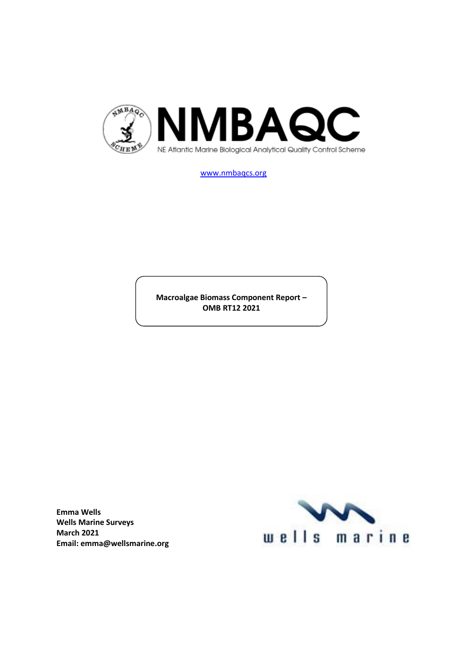

[www.nmbaqcs.org](http://www.nmbaqcs.org/)

**Macroalgae Biomass Component Report – OMB RT12 2021**

**Emma Wells Wells Marine Surveys March 2021 Email: emma@wellsmarine.org**

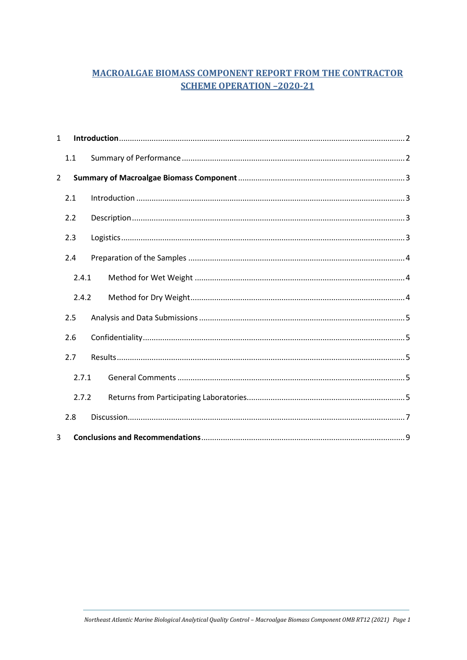# **MACROALGAE BIOMASS COMPONENT REPORT FROM THE CONTRACTOR SCHEME OPERATION -2020-21**

| $\mathbf{1}$   |       |  |  |  |  |  |  |
|----------------|-------|--|--|--|--|--|--|
|                | 1.1   |  |  |  |  |  |  |
| $\overline{2}$ |       |  |  |  |  |  |  |
|                | 2.1   |  |  |  |  |  |  |
|                | 2.2   |  |  |  |  |  |  |
|                | 2.3   |  |  |  |  |  |  |
|                | 2.4   |  |  |  |  |  |  |
|                | 2.4.1 |  |  |  |  |  |  |
|                | 2.4.2 |  |  |  |  |  |  |
|                | 2.5   |  |  |  |  |  |  |
|                | 2.6   |  |  |  |  |  |  |
|                | 2.7   |  |  |  |  |  |  |
| 2.7.1          |       |  |  |  |  |  |  |
|                | 2.7.2 |  |  |  |  |  |  |
|                | 2.8   |  |  |  |  |  |  |
| 3              |       |  |  |  |  |  |  |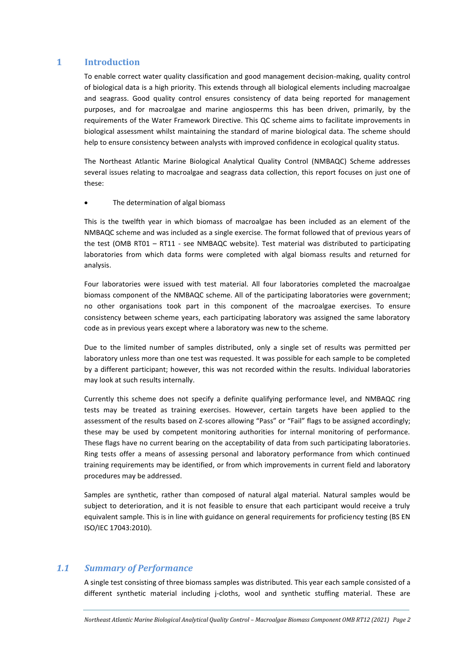## <span id="page-2-0"></span>**1 Introduction**

To enable correct water quality classification and good management decision-making, quality control of biological data is a high priority. This extends through all biological elements including macroalgae and seagrass. Good quality control ensures consistency of data being reported for management purposes, and for macroalgae and marine angiosperms this has been driven, primarily, by the requirements of the Water Framework Directive. This QC scheme aims to facilitate improvements in biological assessment whilst maintaining the standard of marine biological data. The scheme should help to ensure consistency between analysts with improved confidence in ecological quality status.

The Northeast Atlantic Marine Biological Analytical Quality Control (NMBAQC) Scheme addresses several issues relating to macroalgae and seagrass data collection, this report focuses on just one of these:

The determination of algal biomass

This is the twelfth year in which biomass of macroalgae has been included as an element of the NMBAQC scheme and was included as a single exercise. The format followed that of previous years of the test (OMB RT01 – RT11 - see NMBAQC website). Test material was distributed to participating laboratories from which data forms were completed with algal biomass results and returned for analysis.

Four laboratories were issued with test material. All four laboratories completed the macroalgae biomass component of the NMBAQC scheme. All of the participating laboratories were government; no other organisations took part in this component of the macroalgae exercises. To ensure consistency between scheme years, each participating laboratory was assigned the same laboratory code as in previous years except where a laboratory was new to the scheme.

Due to the limited number of samples distributed, only a single set of results was permitted per laboratory unless more than one test was requested. It was possible for each sample to be completed by a different participant; however, this was not recorded within the results. Individual laboratories may look at such results internally.

Currently this scheme does not specify a definite qualifying performance level, and NMBAQC ring tests may be treated as training exercises. However, certain targets have been applied to the assessment of the results based on Z-scores allowing "Pass" or "Fail" flags to be assigned accordingly; these may be used by competent monitoring authorities for internal monitoring of performance. These flags have no current bearing on the acceptability of data from such participating laboratories. Ring tests offer a means of assessing personal and laboratory performance from which continued training requirements may be identified, or from which improvements in current field and laboratory procedures may be addressed.

Samples are synthetic, rather than composed of natural algal material. Natural samples would be subject to deterioration, and it is not feasible to ensure that each participant would receive a truly equivalent sample. This is in line with guidance on general requirements for proficiency testing (BS EN ISO/IEC 17043:2010).

# <span id="page-2-1"></span>*1.1 Summary of Performance*

A single test consisting of three biomass samples was distributed. This year each sample consisted of a different synthetic material including j-cloths, wool and synthetic stuffing material. These are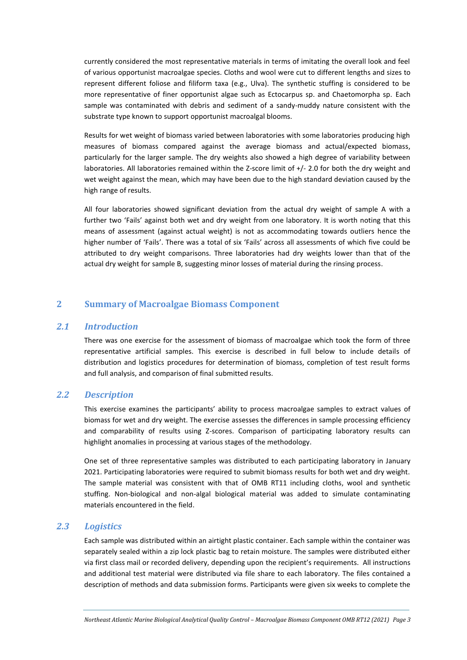currently considered the most representative materials in terms of imitating the overall look and feel of various opportunist macroalgae species. Cloths and wool were cut to different lengths and sizes to represent different foliose and filiform taxa (e.g., Ulva). The synthetic stuffing is considered to be more representative of finer opportunist algae such as Ectocarpus sp. and Chaetomorpha sp. Each sample was contaminated with debris and sediment of a sandy-muddy nature consistent with the substrate type known to support opportunist macroalgal blooms.

Results for wet weight of biomass varied between laboratories with some laboratories producing high measures of biomass compared against the average biomass and actual/expected biomass, particularly for the larger sample. The dry weights also showed a high degree of variability between laboratories. All laboratories remained within the Z-score limit of +/- 2.0 for both the dry weight and wet weight against the mean, which may have been due to the high standard deviation caused by the high range of results.

All four laboratories showed significant deviation from the actual dry weight of sample A with a further two 'Fails' against both wet and dry weight from one laboratory. It is worth noting that this means of assessment (against actual weight) is not as accommodating towards outliers hence the higher number of 'Fails'. There was a total of six 'Fails' across all assessments of which five could be attributed to dry weight comparisons. Three laboratories had dry weights lower than that of the actual dry weight for sample B, suggesting minor losses of material during the rinsing process.

# <span id="page-3-0"></span>**2 Summary of Macroalgae Biomass Component**

#### <span id="page-3-1"></span>*2.1 Introduction*

There was one exercise for the assessment of biomass of macroalgae which took the form of three representative artificial samples. This exercise is described in full below to include details of distribution and logistics procedures for determination of biomass, completion of test result forms and full analysis, and comparison of final submitted results.

#### <span id="page-3-2"></span>*2.2 Description*

This exercise examines the participants' ability to process macroalgae samples to extract values of biomass for wet and dry weight. The exercise assesses the differences in sample processing efficiency and comparability of results using Z-scores. Comparison of participating laboratory results can highlight anomalies in processing at various stages of the methodology.

One set of three representative samples was distributed to each participating laboratory in January 2021. Participating laboratories were required to submit biomass results for both wet and dry weight. The sample material was consistent with that of OMB RT11 including cloths, wool and synthetic stuffing. Non-biological and non-algal biological material was added to simulate contaminating materials encountered in the field.

#### <span id="page-3-3"></span>*2.3 Logistics*

Each sample was distributed within an airtight plastic container. Each sample within the container was separately sealed within a zip lock plastic bag to retain moisture. The samples were distributed either via first class mail or recorded delivery, depending upon the recipient's requirements. All instructions and additional test material were distributed via file share to each laboratory. The files contained a description of methods and data submission forms. Participants were given six weeks to complete the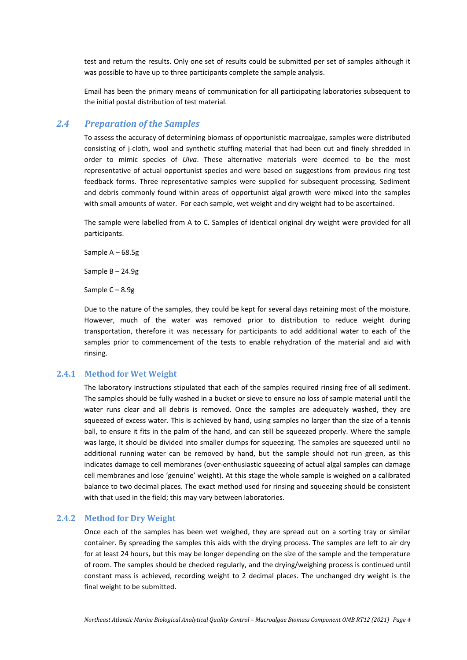test and return the results. Only one set of results could be submitted per set of samples although it was possible to have up to three participants complete the sample analysis.

Email has been the primary means of communication for all participating laboratories subsequent to the initial postal distribution of test material.

### <span id="page-4-0"></span>*2.4 Preparation of the Samples*

To assess the accuracy of determining biomass of opportunistic macroalgae, samples were distributed consisting of j-cloth, wool and synthetic stuffing material that had been cut and finely shredded in order to mimic species of *Ulva*. These alternative materials were deemed to be the most representative of actual opportunist species and were based on suggestions from previous ring test feedback forms. Three representative samples were supplied for subsequent processing. Sediment and debris commonly found within areas of opportunist algal growth were mixed into the samples with small amounts of water. For each sample, wet weight and dry weight had to be ascertained.

The sample were labelled from A to C. Samples of identical original dry weight were provided for all participants.

Sample A – 68.5g

Sample B – 24.9g

Sample C – 8.9g

Due to the nature of the samples, they could be kept for several days retaining most of the moisture. However, much of the water was removed prior to distribution to reduce weight during transportation, therefore it was necessary for participants to add additional water to each of the samples prior to commencement of the tests to enable rehydration of the material and aid with rinsing.

#### <span id="page-4-1"></span>**2.4.1 Method for Wet Weight**

The laboratory instructions stipulated that each of the samples required rinsing free of all sediment. The samples should be fully washed in a bucket or sieve to ensure no loss of sample material until the water runs clear and all debris is removed. Once the samples are adequately washed, they are squeezed of excess water. This is achieved by hand, using samples no larger than the size of a tennis ball, to ensure it fits in the palm of the hand, and can still be squeezed properly. Where the sample was large, it should be divided into smaller clumps for squeezing. The samples are squeezed until no additional running water can be removed by hand, but the sample should not run green, as this indicates damage to cell membranes (over-enthusiastic squeezing of actual algal samples can damage cell membranes and lose 'genuine' weight). At this stage the whole sample is weighed on a calibrated balance to two decimal places. The exact method used for rinsing and squeezing should be consistent with that used in the field; this may vary between laboratories.

## <span id="page-4-2"></span>**2.4.2 Method for Dry Weight**

Once each of the samples has been wet weighed, they are spread out on a sorting tray or similar container. By spreading the samples this aids with the drying process. The samples are left to air dry for at least 24 hours, but this may be longer depending on the size of the sample and the temperature of room. The samples should be checked regularly, and the drying/weighing process is continued until constant mass is achieved, recording weight to 2 decimal places. The unchanged dry weight is the final weight to be submitted.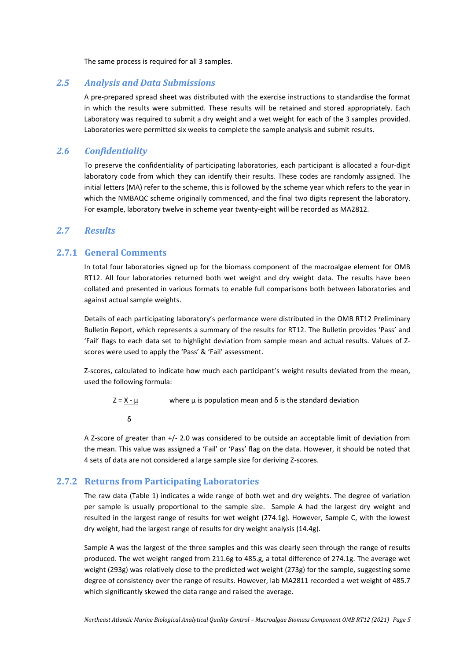The same process is required for all 3 samples.

## <span id="page-5-0"></span>*2.5 Analysis and Data Submissions*

A pre-prepared spread sheet was distributed with the exercise instructions to standardise the format in which the results were submitted. These results will be retained and stored appropriately. Each Laboratory was required to submit a dry weight and a wet weight for each of the 3 samples provided. Laboratories were permitted six weeks to complete the sample analysis and submit results.

## <span id="page-5-1"></span>*2.6 Confidentiality*

To preserve the confidentiality of participating laboratories, each participant is allocated a four-digit laboratory code from which they can identify their results. These codes are randomly assigned. The initial letters (MA) refer to the scheme, this is followed by the scheme year which refers to the year in which the NMBAQC scheme originally commenced, and the final two digits represent the laboratory. For example, laboratory twelve in scheme year twenty-eight will be recorded as MA2812.

## <span id="page-5-2"></span>*2.7 Results*

# <span id="page-5-3"></span>**2.7.1 General Comments**

In total four laboratories signed up for the biomass component of the macroalgae element for OMB RT12. All four laboratories returned both wet weight and dry weight data. The results have been collated and presented in various formats to enable full comparisons both between laboratories and against actual sample weights.

Details of each participating laboratory's performance were distributed in the OMB RT12 Preliminary Bulletin Report, which represents a summary of the results for RT12. The Bulletin provides 'Pass' and 'Fail' flags to each data set to highlight deviation from sample mean and actual results. Values of Zscores were used to apply the 'Pass' & 'Fail' assessment.

Z-scores, calculated to indicate how much each participant's weight results deviated from the mean, used the following formula:

 $Z = X - \mu$  where  $\mu$  is population mean and  $\delta$  is the standard deviation

```
 δ
```
A Z-score of greater than +/- 2.0 was considered to be outside an acceptable limit of deviation from the mean. This value was assigned a 'Fail' or 'Pass' flag on the data. However, it should be noted that 4 sets of data are not considered a large sample size for deriving Z-scores.

## <span id="page-5-4"></span>**2.7.2 Returns from Participating Laboratories**

The raw data (Table 1) indicates a wide range of both wet and dry weights. The degree of variation per sample is usually proportional to the sample size. Sample A had the largest dry weight and resulted in the largest range of results for wet weight (274.1g). However, Sample C, with the lowest dry weight, had the largest range of results for dry weight analysis (14.4g).

Sample A was the largest of the three samples and this was clearly seen through the range of results produced. The wet weight ranged from 211.6g to 485.g, a total difference of 274.1g. The average wet weight (293g) was relatively close to the predicted wet weight (273g) for the sample, suggesting some degree of consistency over the range of results. However, lab MA2811 recorded a wet weight of 485.7 which significantly skewed the data range and raised the average.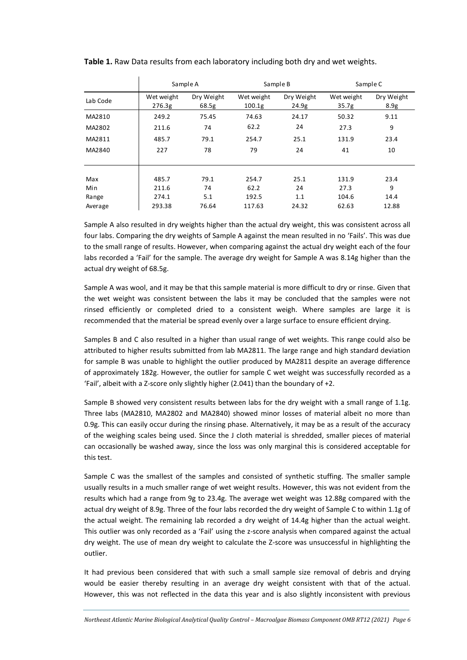|          | Sample A             |                     | Sample B                         |                     | Sample C                        |                    |
|----------|----------------------|---------------------|----------------------------------|---------------------|---------------------------------|--------------------|
| Lab Code | Wet weight<br>276.3g | Dry Weight<br>68.5g | Wet weight<br>100.1 <sub>g</sub> | Dry Weight<br>24.9g | Wet weight<br>35.7 <sub>g</sub> | Dry Weight<br>8.9g |
| MA2810   | 249.2                | 75.45               | 74.63                            | 24.17               | 50.32                           | 9.11               |
| MA2802   | 211.6                | 74                  | 62.2                             | 24                  | 27.3                            | 9                  |
| MA2811   | 485.7                | 79.1                | 254.7                            | 25.1                | 131.9                           | 23.4               |
| MA2840   | 227                  | 78                  | 79                               | 24                  | 41                              | 10                 |
|          |                      |                     |                                  |                     |                                 |                    |
| Max      | 485.7                | 79.1                | 254.7                            | 25.1                | 131.9                           | 23.4               |
| Min      | 211.6                | 74                  | 62.2                             | 24                  | 27.3                            | 9                  |
| Range    | 274.1                | 5.1                 | 192.5                            | 1.1                 | 104.6                           | 14.4               |
| Average  | 293.38               | 76.64               | 117.63                           | 24.32               | 62.63                           | 12.88              |

**Table 1.** Raw Data results from each laboratory including both dry and wet weights.

Sample A also resulted in dry weights higher than the actual dry weight, this was consistent across all four labs. Comparing the dry weights of Sample A against the mean resulted in no 'Fails'. This was due to the small range of results. However, when comparing against the actual dry weight each of the four labs recorded a 'Fail' for the sample. The average dry weight for Sample A was 8.14g higher than the actual dry weight of 68.5g.

Sample A was wool, and it may be that this sample material is more difficult to dry or rinse. Given that the wet weight was consistent between the labs it may be concluded that the samples were not rinsed efficiently or completed dried to a consistent weigh. Where samples are large it is recommended that the material be spread evenly over a large surface to ensure efficient drying.

Samples B and C also resulted in a higher than usual range of wet weights. This range could also be attributed to higher results submitted from lab MA2811. The large range and high standard deviation for sample B was unable to highlight the outlier produced by MA2811 despite an average difference of approximately 182g. However, the outlier for sample C wet weight was successfully recorded as a 'Fail', albeit with a Z-score only slightly higher (2.041) than the boundary of +2.

Sample B showed very consistent results between labs for the dry weight with a small range of 1.1g. Three labs (MA2810, MA2802 and MA2840) showed minor losses of material albeit no more than 0.9g. This can easily occur during the rinsing phase. Alternatively, it may be as a result of the accuracy of the weighing scales being used. Since the J cloth material is shredded, smaller pieces of material can occasionally be washed away, since the loss was only marginal this is considered acceptable for this test.

Sample C was the smallest of the samples and consisted of synthetic stuffing. The smaller sample usually results in a much smaller range of wet weight results. However, this was not evident from the results which had a range from 9g to 23.4g. The average wet weight was 12.88g compared with the actual dry weight of 8.9g. Three of the four labs recorded the dry weight of Sample C to within 1.1g of the actual weight. The remaining lab recorded a dry weight of 14.4g higher than the actual weight. This outlier was only recorded as a 'Fail' using the z-score analysis when compared against the actual dry weight. The use of mean dry weight to calculate the Z-score was unsuccessful in highlighting the outlier.

It had previous been considered that with such a small sample size removal of debris and drying would be easier thereby resulting in an average dry weight consistent with that of the actual. However, this was not reflected in the data this year and is also slightly inconsistent with previous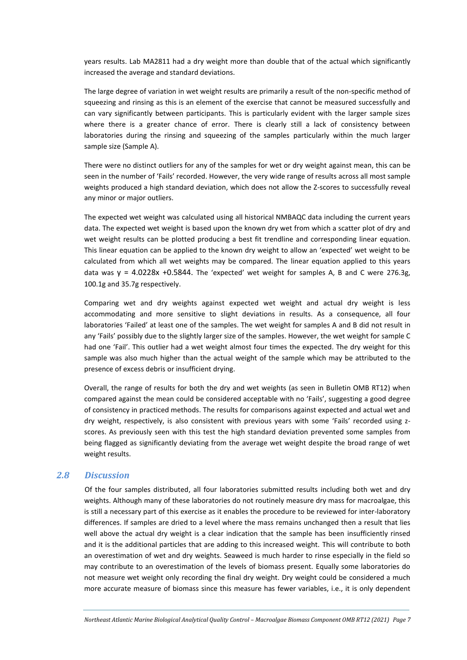years results. Lab MA2811 had a dry weight more than double that of the actual which significantly increased the average and standard deviations.

The large degree of variation in wet weight results are primarily a result of the non-specific method of squeezing and rinsing as this is an element of the exercise that cannot be measured successfully and can vary significantly between participants. This is particularly evident with the larger sample sizes where there is a greater chance of error. There is clearly still a lack of consistency between laboratories during the rinsing and squeezing of the samples particularly within the much larger sample size (Sample A).

There were no distinct outliers for any of the samples for wet or dry weight against mean, this can be seen in the number of 'Fails' recorded. However, the very wide range of results across all most sample weights produced a high standard deviation, which does not allow the Z-scores to successfully reveal any minor or major outliers.

The expected wet weight was calculated using all historical NMBAQC data including the current years data. The expected wet weight is based upon the known dry wet from which a scatter plot of dry and wet weight results can be plotted producing a best fit trendline and corresponding linear equation. This linear equation can be applied to the known dry weight to allow an 'expected' wet weight to be calculated from which all wet weights may be compared. The linear equation applied to this years data was  $y = 4.0228x + 0.5844$ . The 'expected' wet weight for samples A, B and C were 276.3g, 100.1g and 35.7g respectively.

Comparing wet and dry weights against expected wet weight and actual dry weight is less accommodating and more sensitive to slight deviations in results. As a consequence, all four laboratories 'Failed' at least one of the samples. The wet weight for samples A and B did not result in any 'Fails' possibly due to the slightly larger size of the samples. However, the wet weight for sample C had one 'Fail'. This outlier had a wet weight almost four times the expected. The dry weight for this sample was also much higher than the actual weight of the sample which may be attributed to the presence of excess debris or insufficient drying.

Overall, the range of results for both the dry and wet weights (as seen in Bulletin OMB RT12) when compared against the mean could be considered acceptable with no 'Fails', suggesting a good degree of consistency in practiced methods. The results for comparisons against expected and actual wet and dry weight, respectively, is also consistent with previous years with some 'Fails' recorded using zscores. As previously seen with this test the high standard deviation prevented some samples from being flagged as significantly deviating from the average wet weight despite the broad range of wet weight results.

#### <span id="page-7-0"></span>*2.8 Discussion*

Of the four samples distributed, all four laboratories submitted results including both wet and dry weights. Although many of these laboratories do not routinely measure dry mass for macroalgae, this is still a necessary part of this exercise as it enables the procedure to be reviewed for inter-laboratory differences. If samples are dried to a level where the mass remains unchanged then a result that lies well above the actual dry weight is a clear indication that the sample has been insufficiently rinsed and it is the additional particles that are adding to this increased weight. This will contribute to both an overestimation of wet and dry weights. Seaweed is much harder to rinse especially in the field so may contribute to an overestimation of the levels of biomass present. Equally some laboratories do not measure wet weight only recording the final dry weight. Dry weight could be considered a much more accurate measure of biomass since this measure has fewer variables, i.e., it is only dependent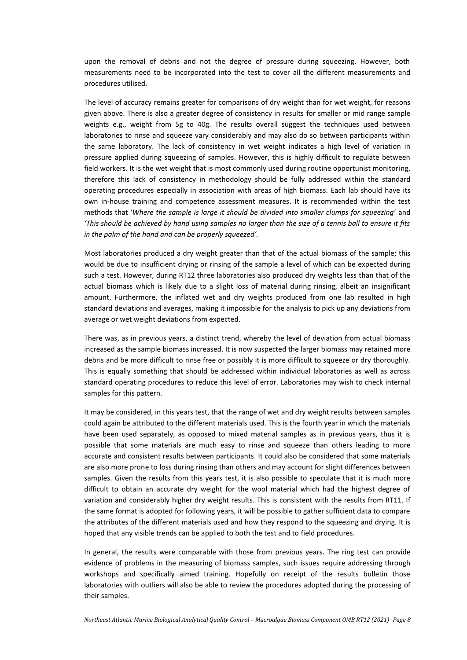upon the removal of debris and not the degree of pressure during squeezing. However, both measurements need to be incorporated into the test to cover all the different measurements and procedures utilised.

The level of accuracy remains greater for comparisons of dry weight than for wet weight, for reasons given above. There is also a greater degree of consistency in results for smaller or mid range sample weights e.g., weight from 5g to 40g. The results overall suggest the techniques used between laboratories to rinse and squeeze vary considerably and may also do so between participants within the same laboratory. The lack of consistency in wet weight indicates a high level of variation in pressure applied during squeezing of samples. However, this is highly difficult to regulate between field workers. It is the wet weight that is most commonly used during routine opportunist monitoring, therefore this lack of consistency in methodology should be fully addressed within the standard operating procedures especially in association with areas of high biomass. Each lab should have its own in-house training and competence assessment measures. It is recommended within the test methods that '*Where the sample is large it should be divided into smaller clumps for squeezing*' and *'This should be achieved by hand using samples no larger than the size of a tennis ball to ensure it fits in the palm of the hand and can be properly squeezed'.* 

Most laboratories produced a dry weight greater than that of the actual biomass of the sample; this would be due to insufficient drying or rinsing of the sample a level of which can be expected during such a test. However, during RT12 three laboratories also produced dry weights less than that of the actual biomass which is likely due to a slight loss of material during rinsing, albeit an insignificant amount. Furthermore, the inflated wet and dry weights produced from one lab resulted in high standard deviations and averages, making it impossible for the analysis to pick up any deviations from average or wet weight deviations from expected.

There was, as in previous years, a distinct trend, whereby the level of deviation from actual biomass increased as the sample biomass increased. It is now suspected the larger biomass may retained more debris and be more difficult to rinse free or possibly it is more difficult to squeeze or dry thoroughly. This is equally something that should be addressed within individual laboratories as well as across standard operating procedures to reduce this level of error. Laboratories may wish to check internal samples for this pattern.

It may be considered, in this years test, that the range of wet and dry weight results between samples could again be attributed to the different materials used. This is the fourth year in which the materials have been used separately, as opposed to mixed material samples as in previous years, thus it is possible that some materials are much easy to rinse and squeeze than others leading to more accurate and consistent results between participants. It could also be considered that some materials are also more prone to loss during rinsing than others and may account for slight differences between samples. Given the results from this years test, it is also possible to speculate that it is much more difficult to obtain an accurate dry weight for the wool material which had the highest degree of variation and considerably higher dry weight results. This is consistent with the results from RT11. If the same format is adopted for following years, it will be possible to gather sufficient data to compare the attributes of the different materials used and how they respond to the squeezing and drying. It is hoped that any visible trends can be applied to both the test and to field procedures.

In general, the results were comparable with those from previous years. The ring test can provide evidence of problems in the measuring of biomass samples, such issues require addressing through workshops and specifically aimed training. Hopefully on receipt of the results bulletin those laboratories with outliers will also be able to review the procedures adopted during the processing of their samples.

*Northeast Atlantic Marine Biological Analytical Quality Control - Macroalgae Biomass Component OMB RT12 (2021)* Page 8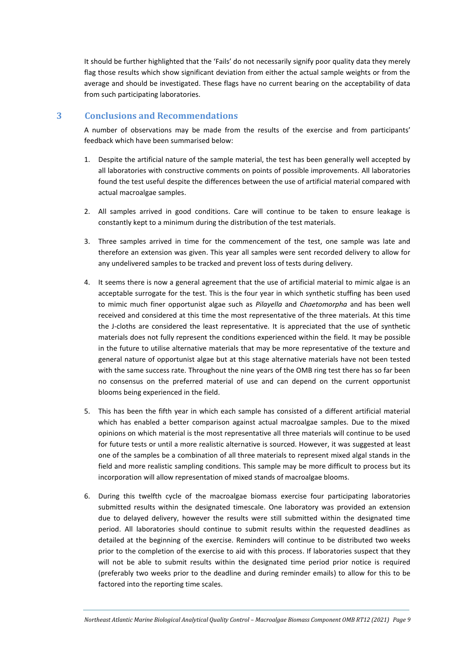It should be further highlighted that the 'Fails' do not necessarily signify poor quality data they merely flag those results which show significant deviation from either the actual sample weights or from the average and should be investigated. These flags have no current bearing on the acceptability of data from such participating laboratories.

## <span id="page-9-0"></span>**3 Conclusions and Recommendations**

A number of observations may be made from the results of the exercise and from participants' feedback which have been summarised below:

- 1. Despite the artificial nature of the sample material, the test has been generally well accepted by all laboratories with constructive comments on points of possible improvements. All laboratories found the test useful despite the differences between the use of artificial material compared with actual macroalgae samples.
- 2. All samples arrived in good conditions. Care will continue to be taken to ensure leakage is constantly kept to a minimum during the distribution of the test materials.
- 3. Three samples arrived in time for the commencement of the test, one sample was late and therefore an extension was given. This year all samples were sent recorded delivery to allow for any undelivered samples to be tracked and prevent loss of tests during delivery.
- 4. It seems there is now a general agreement that the use of artificial material to mimic algae is an acceptable surrogate for the test. This is the four year in which synthetic stuffing has been used to mimic much finer opportunist algae such as *Pilayella* and *Chaetomorpha* and has been well received and considered at this time the most representative of the three materials. At this time the J-cloths are considered the least representative. It is appreciated that the use of synthetic materials does not fully represent the conditions experienced within the field. It may be possible in the future to utilise alternative materials that may be more representative of the texture and general nature of opportunist algae but at this stage alternative materials have not been tested with the same success rate. Throughout the nine years of the OMB ring test there has so far been no consensus on the preferred material of use and can depend on the current opportunist blooms being experienced in the field.
- 5. This has been the fifth year in which each sample has consisted of a different artificial material which has enabled a better comparison against actual macroalgae samples. Due to the mixed opinions on which material is the most representative all three materials will continue to be used for future tests or until a more realistic alternative is sourced. However, it was suggested at least one of the samples be a combination of all three materials to represent mixed algal stands in the field and more realistic sampling conditions. This sample may be more difficult to process but its incorporation will allow representation of mixed stands of macroalgae blooms.
- 6. During this twelfth cycle of the macroalgae biomass exercise four participating laboratories submitted results within the designated timescale. One laboratory was provided an extension due to delayed delivery, however the results were still submitted within the designated time period. All laboratories should continue to submit results within the requested deadlines as detailed at the beginning of the exercise. Reminders will continue to be distributed two weeks prior to the completion of the exercise to aid with this process. If laboratories suspect that they will not be able to submit results within the designated time period prior notice is required (preferably two weeks prior to the deadline and during reminder emails) to allow for this to be factored into the reporting time scales.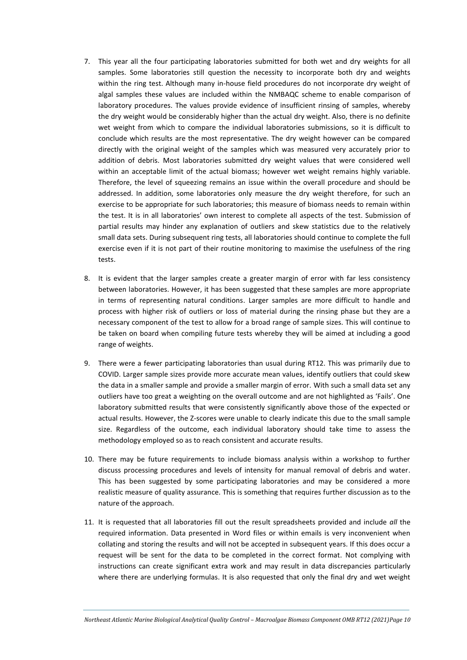- 7. This year all the four participating laboratories submitted for both wet and dry weights for all samples. Some laboratories still question the necessity to incorporate both dry and weights within the ring test. Although many in-house field procedures do not incorporate dry weight of algal samples these values are included within the NMBAQC scheme to enable comparison of laboratory procedures. The values provide evidence of insufficient rinsing of samples, whereby the dry weight would be considerably higher than the actual dry weight. Also, there is no definite wet weight from which to compare the individual laboratories submissions, so it is difficult to conclude which results are the most representative. The dry weight however can be compared directly with the original weight of the samples which was measured very accurately prior to addition of debris. Most laboratories submitted dry weight values that were considered well within an acceptable limit of the actual biomass; however wet weight remains highly variable. Therefore, the level of squeezing remains an issue within the overall procedure and should be addressed. In addition, some laboratories only measure the dry weight therefore, for such an exercise to be appropriate for such laboratories; this measure of biomass needs to remain within the test. It is in all laboratories' own interest to complete all aspects of the test. Submission of partial results may hinder any explanation of outliers and skew statistics due to the relatively small data sets. During subsequent ring tests, all laboratories should continue to complete the full exercise even if it is not part of their routine monitoring to maximise the usefulness of the ring tests.
- 8. It is evident that the larger samples create a greater margin of error with far less consistency between laboratories. However, it has been suggested that these samples are more appropriate in terms of representing natural conditions. Larger samples are more difficult to handle and process with higher risk of outliers or loss of material during the rinsing phase but they are a necessary component of the test to allow for a broad range of sample sizes. This will continue to be taken on board when compiling future tests whereby they will be aimed at including a good range of weights.
- 9. There were a fewer participating laboratories than usual during RT12. This was primarily due to COVID. Larger sample sizes provide more accurate mean values, identify outliers that could skew the data in a smaller sample and provide a smaller margin of error. With such a small data set any outliers have too great a weighting on the overall outcome and are not highlighted as 'Fails'. One laboratory submitted results that were consistently significantly above those of the expected or actual results. However, the Z-scores were unable to clearly indicate this due to the small sample size. Regardless of the outcome, each individual laboratory should take time to assess the methodology employed so as to reach consistent and accurate results.
- 10. There may be future requirements to include biomass analysis within a workshop to further discuss processing procedures and levels of intensity for manual removal of debris and water. This has been suggested by some participating laboratories and may be considered a more realistic measure of quality assurance. This is something that requires further discussion as to the nature of the approach.
- 11. It is requested that all laboratories fill out the result spreadsheets provided and include *all* the required information. Data presented in Word files or within emails is very inconvenient when collating and storing the results and will not be accepted in subsequent years. If this does occur a request will be sent for the data to be completed in the correct format. Not complying with instructions can create significant extra work and may result in data discrepancies particularly where there are underlying formulas. It is also requested that only the final dry and wet weight